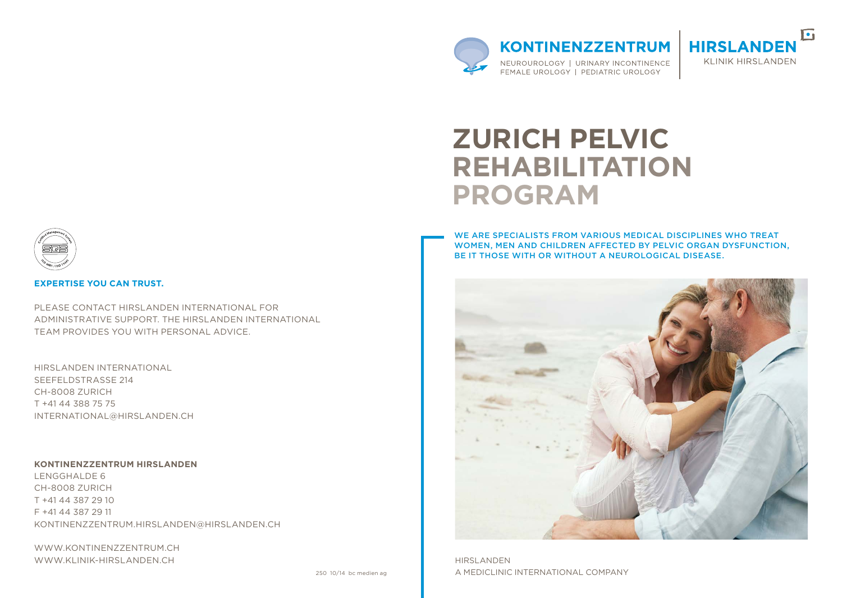

**KONTINENZZENTRUM** NEUROUROLOGY | URINARY INCONTINENCE FEMALE UROLOGY | PEDIATRIC UROLOGY



# **ZURICH PELVIC REHABILITATION PROGRAM**

We are specialists from various medical disciplines who treat women, men and children affected by pelvic organ dysfunction, be it those with or without a neurological disease.



**HIRSLANDEN** A MEDICLINIC INTERNATIONAL COMPANY



### **Expertise you can trust.**

PLEASE CONTACT HIRSLANDEN INTERNATIONAL FOR ADMINISTRATIVE SUPPORT. THE HIRSLANDEN INTERNATIONAL team provides you with personal advice.

Hirslanden International Seefeldstrasse 214 CH-8008 Zurich T +41 44 388 75 75 international@hirslanden.ch

#### **KontinenzZentrum Hirslanden**

Lengghalde 6 CH-8008 Zurich T +41 44 387 29 10 F +41 44 387 29 11 kontinenzz entrum.hirslanden@hirslanden.ch

www.kontinenzz entrum.ch WWW.KLINIK-HIRSLANDEN.CH

250 10/14 bc medien ag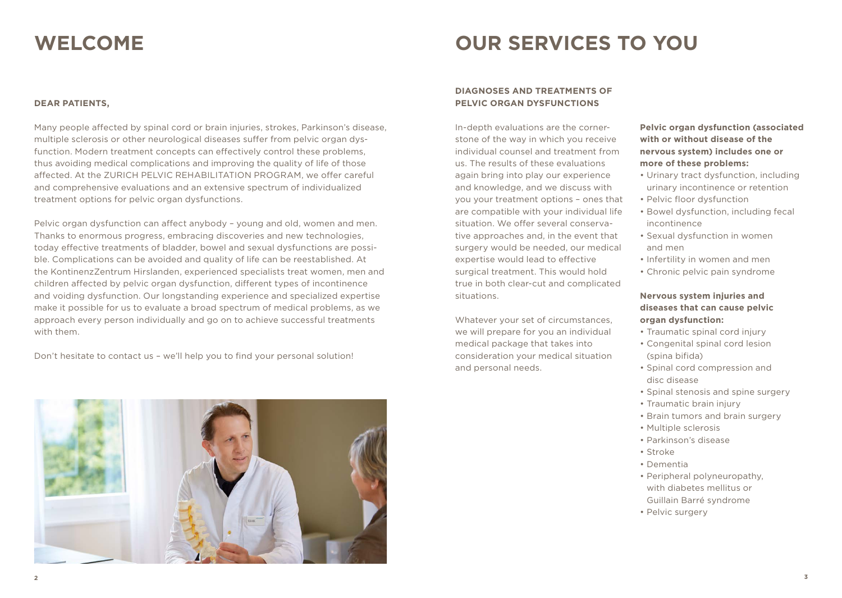### **Welcome**

# **OUR SERVICES TO YOU**

### **Dear Patients,**

Many people affected by spinal cord or brain injuries, strokes, Parkinson's disease, multiple sclerosis or other neurological diseases suffer from pelvic organ dysfunction. Modern treatment concepts can effectively control these problems, thus avoiding medical complications and improving the quality of life of those affected. At the ZURICH PELVIC REHABILITATION PROGRAM, we offer careful and comprehensive evaluations and an extensive spectrum of individualized treatment options for pelvic organ dysfunctions.

Pelvic organ dysfunction can affect anybody – young and old, women and men. Thanks to enormous progress, embracing discoveries and new technologies, today effective treatments of bladder, bowel and sexual dysfunctions are possible. Complications can be avoided and quality of life can be reestablished. At the KontinenzZentrum Hirslanden, experienced specialists treat women, men and children affected by pelvic organ dysfunction, different types of incontinence and voiding dysfunction. Our longstanding experience and specialized expertise make it possible for us to evaluate a broad spectrum of medical problems, as we approach every person individually and go on to achieve successful treatments with them.

Don't hesitate to contact us – we'll help you to find your personal solution!



### **DIAGNOSES AND TREATMENTS OF PEL VIC ORGAN DYSFUNCTIONS**

In-depth evaluations are the cornerstone of the way in which you receive individual counsel and treatment from us. The results of these evaluations again bring into play our experience and knowledge, and we discuss with you your treatment options – ones that are compatible with your individual life situation. We offer several conservative approaches and, in the event that surgery would be needed, our medical expertise would lead to effective surgical treatment. This would hold true in both clear-cut and complicated situations.

Whatever your set of circumstances, we will prepare for you an individual medical package that takes into consideration your medical situation and personal needs.

### **Pelvic organ dysfunction (associated with or without disease of the nervous system) includes one or more of these problems:**

- Urinary tract dysfunction, including urinary incontinence or retention
- Pelvic floor dysfunction
- Bowel dysfunction, including fecal incontinence
- Sexual dysfunction in women and men
- Infertility in women and men
- Chronic pelvic pain syndrome

### **Nervous system injuries and diseases that can cause pelvic organ dysfunction:**

- Traumatic spinal cord injury
- Congenital spinal cord lesion (spina bifida)
- Spinal cord compression and disc disease
- Spinal stenosis and spine surgery
- Traumatic brain injury
- Brain tumors and brain surgery
- Multiple sclerosis
- Parkinson's disease
- Stroke
- Dementia
- Peripheral polyneuropathy, with diabetes mellitus or Guillain Barré syndrome
- Pelvic surgery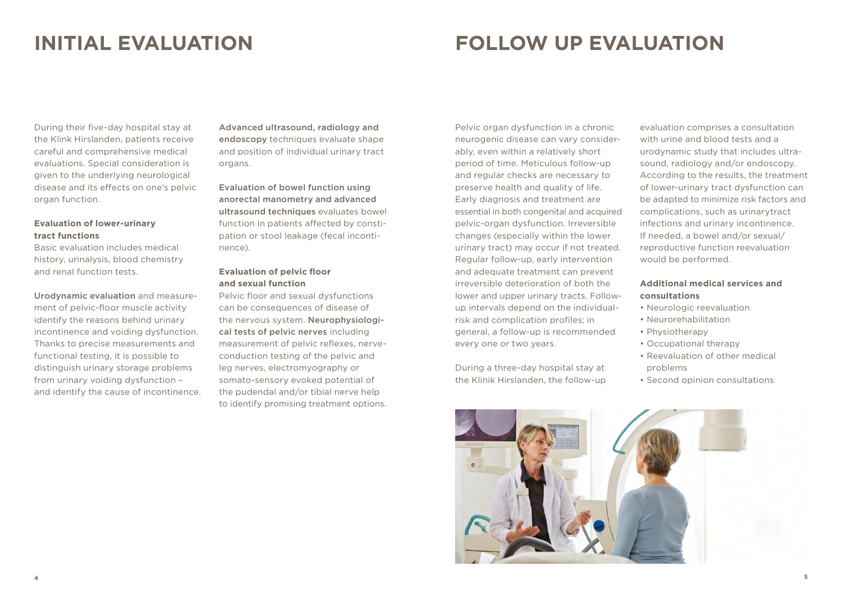### **INITIAL EVALUATION**

# **FOLLOW UP EVALUATION**

During their five-day hospital stay at the Klink Hirslanden, patients receive careful and comprehensive medical evaluations. Special consideration is given to the underlying neurological disease and its effects on one's pelvic organ function.

### **Evaluation of lower-urinary tract functions**

Basic evaluation includes medical history, urinalysis, blood chemistry and renal function tests.

Urodynamic evaluation and measurement of pelvic-floor muscle activity identify the reasons behind urinary incontinence and voiding dysfunction. Thanks to precise measurements and functional testing, it is possible to distinguish urinary storage problems from urinary voiding dysfunction – and identify the cause of incontinence. Advanced ultrasound, radiology and endoscopy techniques evaluate shape and position of individual urinary tract organs.

Evaluation of bowel function using anorectal manometry and advanced ultrasound techniques evaluates bowel function in patients affected by constipation or stool leakage (fecal incontinence).

### **Evaluation of pelvic floor and sexual function**

Pelvic floor and sexual dysfunctions can be consequences of disease of the nervous system. Neurophysiological tests of pelvic nerves including measurement of pelvic reflexes, nerveconduction testing of the pelvic and leg nerves, electromyography or somato-sensory evoked potential of the pudendal and/or tibial nerve help to identify promising treatment options.

Pelvic organ dysfunction in a chronic neurogenic disease can vary considerably, even within a relatively short period of time. Meticulous follow-up and regular checks are necessary to preserve health and quality of life. Early diagnosis and treatment are essential in both congenital and acquired pelvic-organ dysfunction. Irreversible changes (especially within the lower urinary tract) may occur if not treated. Regular follow-up, early intervention and adequate treatment can prevent irreversible deterioration of both the lower and upper urinary tracts. Followup intervals depend on the individualrisk and complication profiles; in general, a follow-up is recommended every one or two years.

During a three-day hospital stay at the Klinik Hirslanden, the follow-up

evaluation comprises a consultation with urine and blood tests and a urodynamic study that includes ultrasound, radiology and/or endoscopy. According to the results, the treatment of lower-urinary tract dysfunction can be adapted to minimize risk factors and complications, such as urinarytract infections and urinary incontinence. If needed, a bowel and/or sexual/ reproductive function reevaluation would be performed.

### **Additional medical services and consultations**

- Neurologic reevaluation
- Neurorehabilitation
- Physiotherapy
- Occupational therapy
- Reevaluation of other medical problems
- Second opinion consultations